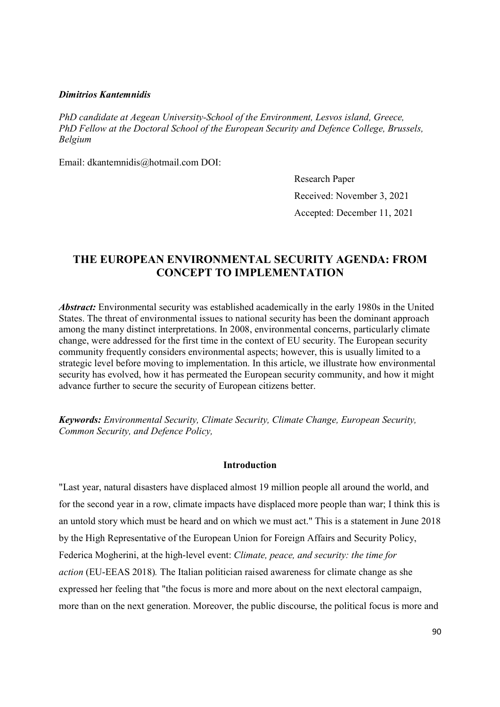### Dimitrios Kantemnidis

PhD candidate at Aegean University-School of the Environment, Lesvos island, Greece, PhD Fellow at the Doctoral School of the European Security and Defence College, Brussels, Belgium

Email: dkantemnidis@hotmail.com DOI:

Research Paper Received: November 3, 2021 Accepted: December 11, 2021

# THE EUROPEAN ENVIRONMENTAL SECURITY AGENDA: FROM CONCEPT TO IMPLEMENTATION

Abstract: Environmental security was established academically in the early 1980s in the United States. The threat of environmental issues to national security has been the dominant approach among the many distinct interpretations. In 2008, environmental concerns, particularly climate change, were addressed for the first time in the context of EU security. The European security community frequently considers environmental aspects; however, this is usually limited to a strategic level before moving to implementation. In this article, we illustrate how environmental security has evolved, how it has permeated the European security community, and how it might advance further to secure the security of European citizens better.

Keywords: Environmental Security, Climate Security, Climate Change, European Security, Common Security, and Defence Policy,

## Introduction

"Last year, natural disasters have displaced almost 19 million people all around the world, and for the second year in a row, climate impacts have displaced more people than war; I think this is an untold story which must be heard and on which we must act." This is a statement in June 2018 by the High Representative of the European Union for Foreign Affairs and Security Policy, Federica Mogherini, at the high-level event: Climate, peace, and security: the time for action (EU-EEAS 2018). The Italian politician raised awareness for climate change as she expressed her feeling that "the focus is more and more about on the next electoral campaign, more than on the next generation. Moreover, the public discourse, the political focus is more and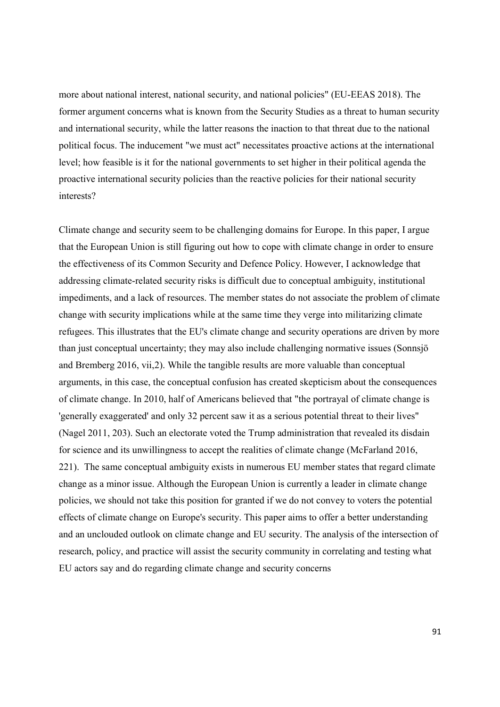more about national interest, national security, and national policies" (EU-EEAS 2018). The former argument concerns what is known from the Security Studies as a threat to human security and international security, while the latter reasons the inaction to that threat due to the national political focus. The inducement "we must act" necessitates proactive actions at the international level; how feasible is it for the national governments to set higher in their political agenda the proactive international security policies than the reactive policies for their national security interests?

Climate change and security seem to be challenging domains for Europe. In this paper, I argue that the European Union is still figuring out how to cope with climate change in order to ensure the effectiveness of its Common Security and Defence Policy. However, I acknowledge that addressing climate-related security risks is difficult due to conceptual ambiguity, institutional impediments, and a lack of resources. The member states do not associate the problem of climate change with security implications while at the same time they verge into militarizing climate refugees. This illustrates that the EU's climate change and security operations are driven by more than just conceptual uncertainty; they may also include challenging normative issues (Sonnsjö and Bremberg 2016, vii,2). While the tangible results are more valuable than conceptual arguments, in this case, the conceptual confusion has created skepticism about the consequences of climate change. In 2010, half of Americans believed that "the portrayal of climate change is 'generally exaggerated' and only 32 percent saw it as a serious potential threat to their lives" (Nagel 2011, 203). Such an electorate voted the Trump administration that revealed its disdain for science and its unwillingness to accept the realities of climate change (McFarland 2016, 221). The same conceptual ambiguity exists in numerous EU member states that regard climate change as a minor issue. Although the European Union is currently a leader in climate change policies, we should not take this position for granted if we do not convey to voters the potential effects of climate change on Europe's security. This paper aims to offer a better understanding and an unclouded outlook on climate change and EU security. The analysis of the intersection of research, policy, and practice will assist the security community in correlating and testing what EU actors say and do regarding climate change and security concerns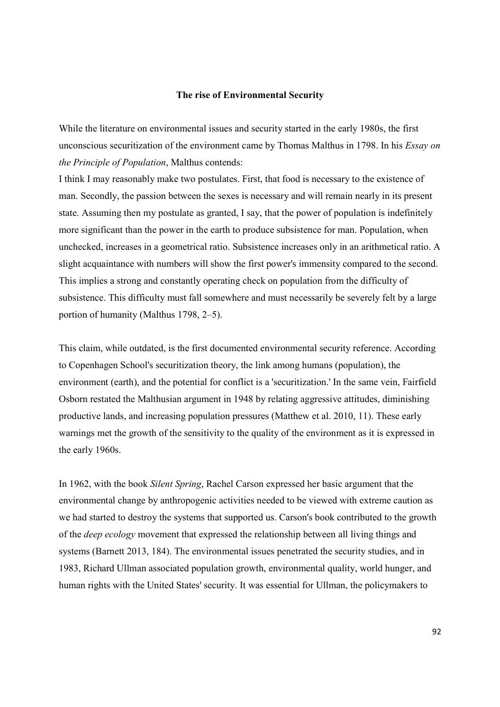# Τhe rise of Environmental Security

While the literature on environmental issues and security started in the early 1980s, the first unconscious securitization of the environment came by Thomas Malthus in 1798. In his *Essay on* the Principle of Population, Malthus contends:

I think I may reasonably make two postulates. First, that food is necessary to the existence of man. Secondly, the passion between the sexes is necessary and will remain nearly in its present state. Assuming then my postulate as granted, I say, that the power of population is indefinitely more significant than the power in the earth to produce subsistence for man. Population, when unchecked, increases in a geometrical ratio. Subsistence increases only in an arithmetical ratio. A slight acquaintance with numbers will show the first power's immensity compared to the second. This implies a strong and constantly operating check on population from the difficulty of subsistence. This difficulty must fall somewhere and must necessarily be severely felt by a large portion of humanity (Malthus 1798, 2–5).

This claim, while outdated, is the first documented environmental security reference. According to Copenhagen School's securitization theory, the link among humans (population), the environment (earth), and the potential for conflict is a 'securitization.' In the same vein, Fairfield Osborn restated the Malthusian argument in 1948 by relating aggressive attitudes, diminishing productive lands, and increasing population pressures (Matthew et al. 2010, 11). These early warnings met the growth of the sensitivity to the quality of the environment as it is expressed in the early 1960s.

In 1962, with the book Silent Spring, Rachel Carson expressed her basic argument that the environmental change by anthropogenic activities needed to be viewed with extreme caution as we had started to destroy the systems that supported us. Carson's book contributed to the growth of the deep ecology movement that expressed the relationship between all living things and systems (Barnett 2013, 184). The environmental issues penetrated the security studies, and in 1983, Richard Ullman associated population growth, environmental quality, world hunger, and human rights with the United States' security. It was essential for Ullman, the policymakers to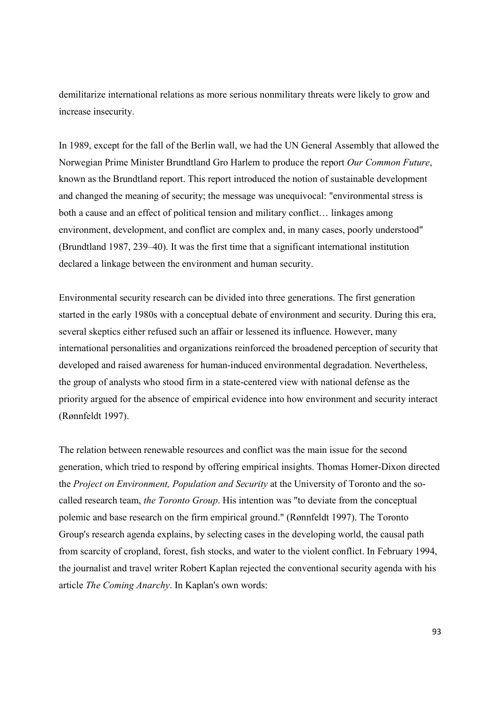demilitarize international relations as more serious nonmilitary threats were likely to grow and increase insecurity.

In 1989, except for the fall of the Berlin wall, we had the UN General Assembly that allowed the Norwegian Prime Minister Brundtland Gro Harlem to produce the report Our Common Future, known as the Brundtland report. This report introduced the notion of sustainable development and changed the meaning of security; the message was unequivocal: "environmental stress is both a cause and an effect of political tension and military conflict… linkages among environment, development, and conflict are complex and, in many cases, poorly understood" (Brundtland 1987, 239–40). It was the first time that a significant international institution declared a linkage between the environment and human security.

Environmental security research can be divided into three generations. The first generation started in the early 1980s with a conceptual debate of environment and security. During this era, several skeptics either refused such an affair or lessened its influence. However, many international personalities and organizations reinforced the broadened perception of security that developed and raised awareness for human-induced environmental degradation. Nevertheless, the group of analysts who stood firm in a state-centered view with national defense as the priority argued for the absence of empirical evidence into how environment and security interact (Rønnfeldt 1997).

The relation between renewable resources and conflict was the main issue for the second generation, which tried to respond by offering empirical insights. Thomas Homer-Dixon directed the Project on Environment, Population and Security at the University of Toronto and the socalled research team, the Toronto Group. His intention was "to deviate from the conceptual polemic and base research on the firm empirical ground." (Rønnfeldt 1997). The Toronto Group's research agenda explains, by selecting cases in the developing world, the causal path from scarcity of cropland, forest, fish stocks, and water to the violent conflict. In February 1994, the journalist and travel writer Robert Kaplan rejected the conventional security agenda with his article The Coming Anarchy. In Kaplan's own words: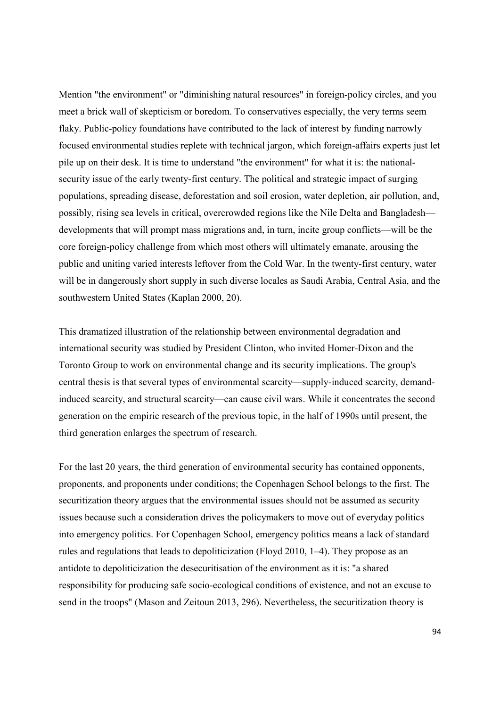Mention "the environment" or "diminishing natural resources" in foreign-policy circles, and you meet a brick wall of skepticism or boredom. To conservatives especially, the very terms seem flaky. Public-policy foundations have contributed to the lack of interest by funding narrowly focused environmental studies replete with technical jargon, which foreign-affairs experts just let pile up on their desk. It is time to understand "the environment" for what it is: the nationalsecurity issue of the early twenty-first century. The political and strategic impact of surging populations, spreading disease, deforestation and soil erosion, water depletion, air pollution, and, possibly, rising sea levels in critical, overcrowded regions like the Nile Delta and Bangladesh developments that will prompt mass migrations and, in turn, incite group conflicts—will be the core foreign-policy challenge from which most others will ultimately emanate, arousing the public and uniting varied interests leftover from the Cold War. In the twenty-first century, water will be in dangerously short supply in such diverse locales as Saudi Arabia, Central Asia, and the southwestern United States (Kaplan 2000, 20).

This dramatized illustration of the relationship between environmental degradation and international security was studied by President Clinton, who invited Homer-Dixon and the Toronto Group to work on environmental change and its security implications. The group's central thesis is that several types of environmental scarcity––supply-induced scarcity, demandinduced scarcity, and structural scarcity––can cause civil wars. While it concentrates the second generation on the empiric research of the previous topic, in the half of 1990s until present, the third generation enlarges the spectrum of research.

For the last 20 years, the third generation of environmental security has contained opponents, proponents, and proponents under conditions; the Copenhagen School belongs to the first. The securitization theory argues that the environmental issues should not be assumed as security issues because such a consideration drives the policymakers to move out of everyday politics into emergency politics. For Copenhagen School, emergency politics means a lack of standard rules and regulations that leads to depoliticization (Floyd 2010, 1–4). They propose as an antidote to depoliticization the desecuritisation of the environment as it is: "a shared responsibility for producing safe socio-ecological conditions of existence, and not an excuse to send in the troops" (Mason and Zeitoun 2013, 296). Nevertheless, the securitization theory is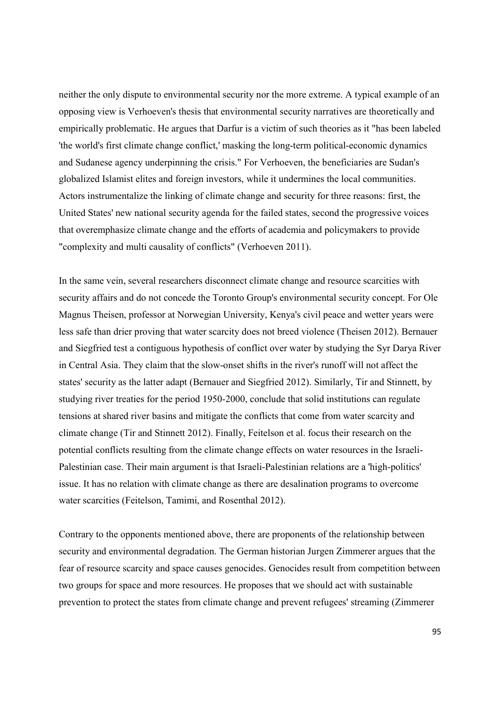neither the only dispute to environmental security nor the more extreme. A typical example of an opposing view is Verhoeven's thesis that environmental security narratives are theoretically and empirically problematic. He argues that Darfur is a victim of such theories as it "has been labeled 'the world's first climate change conflict,' masking the long-term political-economic dynamics and Sudanese agency underpinning the crisis." For Verhoeven, the beneficiaries are Sudan's globalized Islamist elites and foreign investors, while it undermines the local communities. Actors instrumentalize the linking of climate change and security for three reasons: first, the United States' new national security agenda for the failed states, second the progressive voices that overemphasize climate change and the efforts of academia and policymakers to provide "complexity and multi causality of conflicts" (Verhoeven 2011).

In the same vein, several researchers disconnect climate change and resource scarcities with security affairs and do not concede the Toronto Group's environmental security concept. For Ole Magnus Theisen, professor at Norwegian University, Kenya's civil peace and wetter years were less safe than drier proving that water scarcity does not breed violence (Theisen 2012). Bernauer and Siegfried test a contiguous hypothesis of conflict over water by studying the Syr Darya River in Central Asia. They claim that the slow-onset shifts in the river's runoff will not affect the states' security as the latter adapt (Bernauer and Siegfried 2012). Similarly, Tir and Stinnett, by studying river treaties for the period 1950-2000, conclude that solid institutions can regulate tensions at shared river basins and mitigate the conflicts that come from water scarcity and climate change (Tir and Stinnett 2012). Finally, Feitelson et al. focus their research on the potential conflicts resulting from the climate change effects on water resources in the Israeli-Palestinian case. Their main argument is that Israeli-Palestinian relations are a 'high-politics' issue. It has no relation with climate change as there are desalination programs to overcome water scarcities (Feitelson, Tamimi, and Rosenthal 2012).

Contrary to the opponents mentioned above, there are proponents of the relationship between security and environmental degradation. The German historian Jurgen Zimmerer argues that the fear of resource scarcity and space causes genocides. Genocides result from competition between two groups for space and more resources. He proposes that we should act with sustainable prevention to protect the states from climate change and prevent refugees' streaming (Zimmerer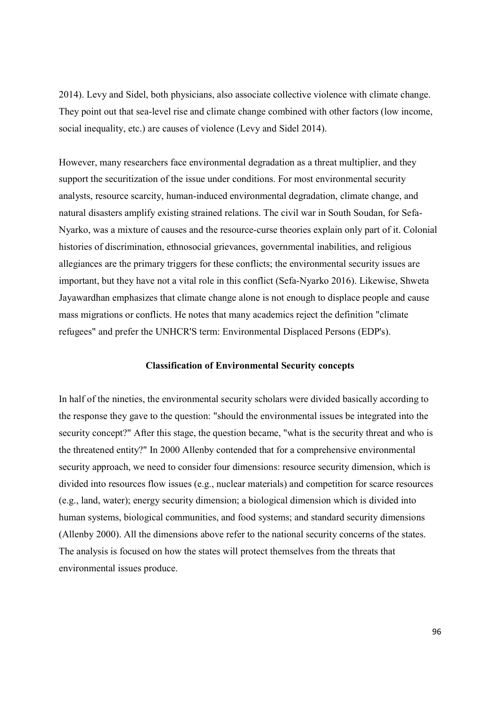2014). Levy and Sidel, both physicians, also associate collective violence with climate change. They point out that sea-level rise and climate change combined with other factors (low income, social inequality, etc.) are causes of violence (Levy and Sidel 2014).

However, many researchers face environmental degradation as a threat multiplier, and they support the securitization of the issue under conditions. For most environmental security analysts, resource scarcity, human-induced environmental degradation, climate change, and natural disasters amplify existing strained relations. The civil war in South Soudan, for Sefa-Nyarko, was a mixture of causes and the resource-curse theories explain only part of it. Colonial histories of discrimination, ethnosocial grievances, governmental inabilities, and religious allegiances are the primary triggers for these conflicts; the environmental security issues are important, but they have not a vital role in this conflict (Sefa-Nyarko 2016). Likewise, Shweta Jayawardhan emphasizes that climate change alone is not enough to displace people and cause mass migrations or conflicts. He notes that many academics reject the definition "climate refugees" and prefer the UNHCR'S term: Environmental Displaced Persons (EDP's).

## Classification of Environmental Security concepts

In half of the nineties, the environmental security scholars were divided basically according to the response they gave to the question: "should the environmental issues be integrated into the security concept?" After this stage, the question became, "what is the security threat and who is the threatened entity?" In 2000 Allenby contended that for a comprehensive environmental security approach, we need to consider four dimensions: resource security dimension, which is divided into resources flow issues (e.g., nuclear materials) and competition for scarce resources (e.g., land, water); energy security dimension; a biological dimension which is divided into human systems, biological communities, and food systems; and standard security dimensions (Allenby 2000). All the dimensions above refer to the national security concerns of the states. The analysis is focused on how the states will protect themselves from the threats that environmental issues produce.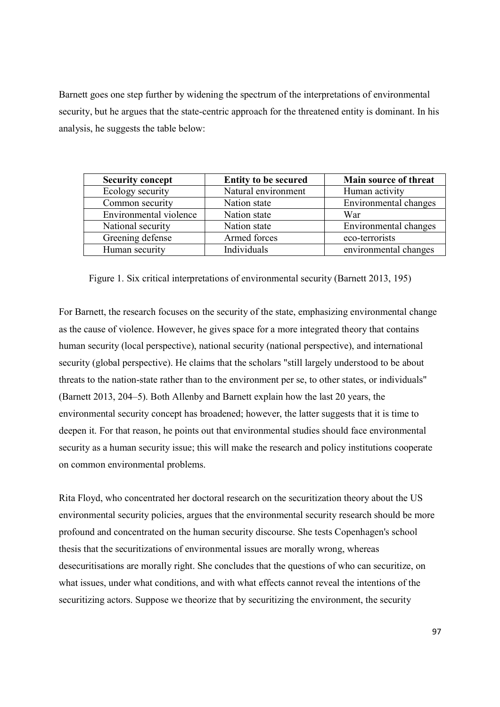Barnett goes one step further by widening the spectrum of the interpretations of environmental security, but he argues that the state-centric approach for the threatened entity is dominant. In his analysis, he suggests the table below:

| <b>Security concept</b> | <b>Entity to be secured</b> | Main source of threat |
|-------------------------|-----------------------------|-----------------------|
| Ecology security        | Natural environment         | Human activity        |
| Common security         | Nation state                | Environmental changes |
| Environmental violence  | Nation state                | War                   |
| National security       | Nation state                | Environmental changes |
| Greening defense        | Armed forces                | eco-terrorists        |
| Human security          | Individuals                 | environmental changes |

Figure 1. Six critical interpretations of environmental security (Barnett 2013, 195)

For Barnett, the research focuses on the security of the state, emphasizing environmental change as the cause of violence. However, he gives space for a more integrated theory that contains human security (local perspective), national security (national perspective), and international security (global perspective). He claims that the scholars "still largely understood to be about threats to the nation-state rather than to the environment per se, to other states, or individuals" (Barnett 2013, 204–5). Both Allenby and Barnett explain how the last 20 years, the environmental security concept has broadened; however, the latter suggests that it is time to deepen it. For that reason, he points out that environmental studies should face environmental security as a human security issue; this will make the research and policy institutions cooperate on common environmental problems.

Rita Floyd, who concentrated her doctoral research on the securitization theory about the US environmental security policies, argues that the environmental security research should be more profound and concentrated on the human security discourse. She tests Copenhagen's school thesis that the securitizations of environmental issues are morally wrong, whereas desecuritisations are morally right. She concludes that the questions of who can securitize, on what issues, under what conditions, and with what effects cannot reveal the intentions of the securitizing actors. Suppose we theorize that by securitizing the environment, the security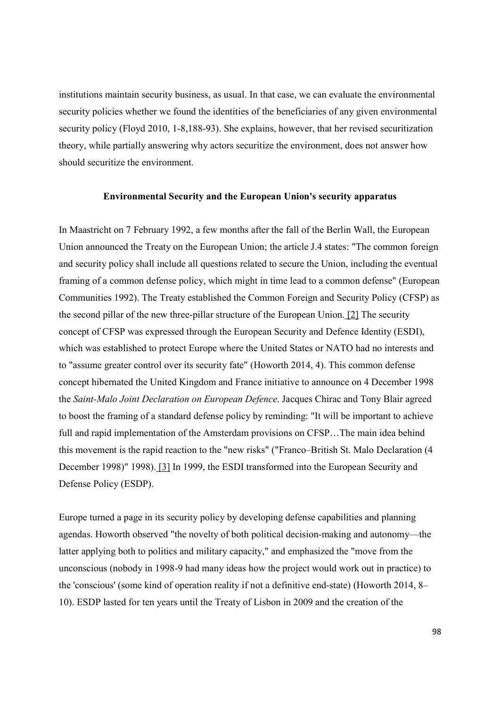institutions maintain security business, as usual. In that case, we can evaluate the environmental security policies whether we found the identities of the beneficiaries of any given environmental security policy (Floyd 2010, 1-8,188-93). She explains, however, that her revised securitization theory, while partially answering why actors securitize the environment, does not answer how should securitize the environment.

## Environmental Security and the European Union's security apparatus

In Maastricht on 7 February 1992, a few months after the fall of the Berlin Wall, the European Union announced the Treaty on the European Union; the article J.4 states: "The common foreign and security policy shall include all questions related to secure the Union, including the eventual framing of a common defense policy, which might in time lead to a common defense" (European Communities 1992). The Treaty established the Common Foreign and Security Policy (CFSP) as the second pillar of the new three-pillar structure of the European Union. [2] The security concept of CFSP was expressed through the European Security and Defence Identity (ESDI), which was established to protect Europe where the United States or NATO had no interests and to "assume greater control over its security fate" (Howorth 2014, 4). This common defense concept hibernated the United Kingdom and France initiative to announce on 4 December 1998 the Saint-Malo Joint Declaration on European Defence. Jacques Chirac and Tony Blair agreed to boost the framing of a standard defense policy by reminding: "It will be important to achieve full and rapid implementation of the Amsterdam provisions on CFSP…The main idea behind this movement is the rapid reaction to the "new risks" ("Franco–British St. Malo Declaration (4 December 1998)" 1998). [3] In 1999, the ESDI transformed into the European Security and Defense Policy (ESDP).

Europe turned a page in its security policy by developing defense capabilities and planning agendas. Howorth observed "the novelty of both political decision-making and autonomy—the latter applying both to politics and military capacity," and emphasized the "move from the unconscious (nobody in 1998-9 had many ideas how the project would work out in practice) to the 'conscious' (some kind of operation reality if not a definitive end-state) (Howorth 2014, 8– 10). ESDP lasted for ten years until the Treaty of Lisbon in 2009 and the creation of the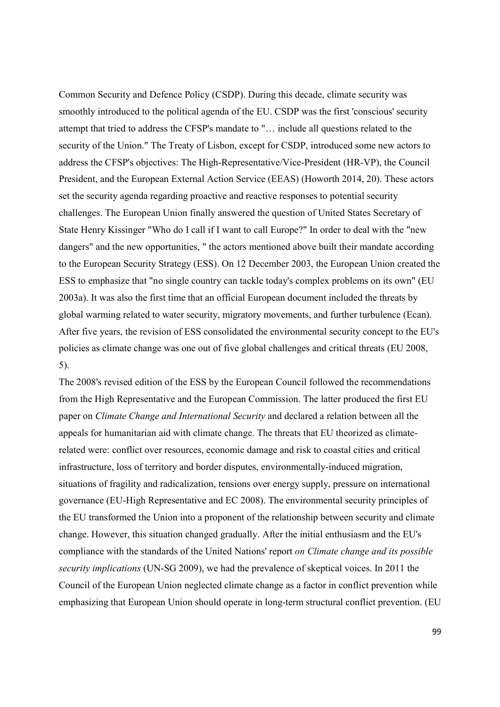Common Security and Defence Policy (CSDP). During this decade, climate security was smoothly introduced to the political agenda of the EU. CSDP was the first 'conscious' security attempt that tried to address the CFSP's mandate to "… include all questions related to the security of the Union." The Treaty of Lisbon, except for CSDP, introduced some new actors to address the CFSP's objectives: The High-Representative/Vice-President (HR-VP), the Council President, and the European External Action Service (EEAS) (Howorth 2014, 20). These actors set the security agenda regarding proactive and reactive responses to potential security challenges. The European Union finally answered the question of United States Secretary of State Henry Kissinger "Who do I call if I want to call Europe?" In order to deal with the "new dangers" and the new opportunities, " the actors mentioned above built their mandate according to the European Security Strategy (ESS). On 12 December 2003, the European Union created the ESS to emphasize that "no single country can tackle today's complex problems on its own" (EU 2003a). It was also the first time that an official European document included the threats by global warming related to water security, migratory movements, and further turbulence (Ecan). After five years, the revision of ESS consolidated the environmental security concept to the EU's policies as climate change was one out of five global challenges and critical threats (EU 2008, 5).

The 2008's revised edition of the ESS by the European Council followed the recommendations from the High Representative and the European Commission. The latter produced the first EU paper on Climate Change and International Security and declared a relation between all the appeals for humanitarian aid with climate change. The threats that EU theorized as climaterelated were: conflict over resources, economic damage and risk to coastal cities and critical infrastructure, loss of territory and border disputes, environmentally-induced migration, situations of fragility and radicalization, tensions over energy supply, pressure on international governance (EU-High Representative and EC 2008). The environmental security principles of the EU transformed the Union into a proponent of the relationship between security and climate change. However, this situation changed gradually. After the initial enthusiasm and the EU's compliance with the standards of the United Nations' report on Climate change and its possible security implications (UN-SG 2009), we had the prevalence of skeptical voices. In 2011 the Council of the European Union neglected climate change as a factor in conflict prevention while emphasizing that European Union should operate in long-term structural conflict prevention. (EU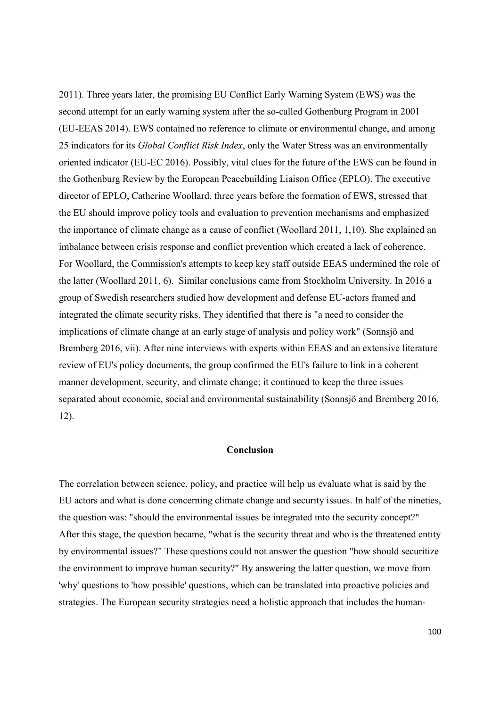2011). Three years later, the promising EU Conflict Early Warning System (EWS) was the second attempt for an early warning system after the so-called Gothenburg Program in 2001 (EU-EEAS 2014). EWS contained no reference to climate or environmental change, and among 25 indicators for its *Global Conflict Risk Index*, only the Water Stress was an environmentally oriented indicator (EU-EC 2016). Possibly, vital clues for the future of the EWS can be found in the Gothenburg Review by the European Peacebuilding Liaison Office (EPLO). The executive director of EPLO, Catherine Woollard, three years before the formation of EWS, stressed that the EU should improve policy tools and evaluation to prevention mechanisms and emphasized the importance of climate change as a cause of conflict (Woollard 2011, 1,10). She explained an imbalance between crisis response and conflict prevention which created a lack of coherence. For Woollard, the Commission's attempts to keep key staff outside EEAS undermined the role of the latter (Woollard 2011, 6). Similar conclusions came from Stockholm University. In 2016 a group of Swedish researchers studied how development and defense EU-actors framed and integrated the climate security risks. They identified that there is "a need to consider the implications of climate change at an early stage of analysis and policy work" (Sonnsjö and Bremberg 2016, vii). After nine interviews with experts within EEAS and an extensive literature review of EU's policy documents, the group confirmed the EU's failure to link in a coherent manner development, security, and climate change; it continued to keep the three issues separated about economic, social and environmental sustainability (Sonnsjö and Bremberg 2016, 12).

### Conclusion

The correlation between science, policy, and practice will help us evaluate what is said by the EU actors and what is done concerning climate change and security issues. In half of the nineties, the question was: "should the environmental issues be integrated into the security concept?" After this stage, the question became, "what is the security threat and who is the threatened entity by environmental issues?" These questions could not answer the question "how should securitize the environment to improve human security?" By answering the latter question, we move from 'why' questions to 'how possible' questions, which can be translated into proactive policies and strategies. The European security strategies need a holistic approach that includes the human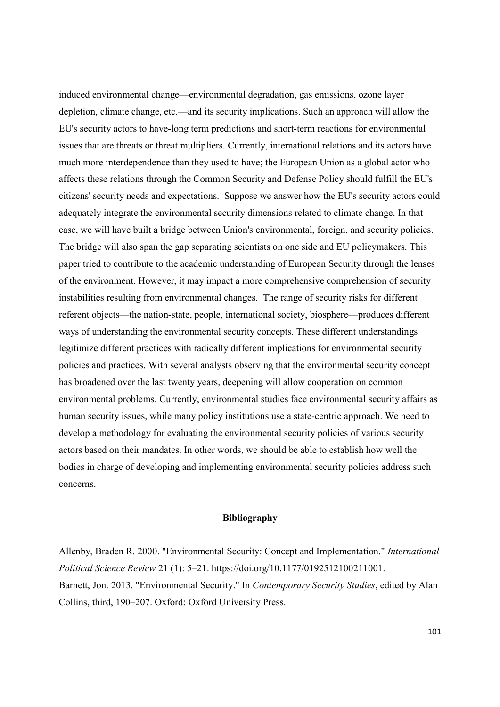induced environmental change––environmental degradation, gas emissions, ozone layer depletion, climate change, etc.––and its security implications. Such an approach will allow the EU's security actors to have-long term predictions and short-term reactions for environmental issues that are threats or threat multipliers. Currently, international relations and its actors have much more interdependence than they used to have; the European Union as a global actor who affects these relations through the Common Security and Defense Policy should fulfill the EU's citizens' security needs and expectations. Suppose we answer how the EU's security actors could adequately integrate the environmental security dimensions related to climate change. In that case, we will have built a bridge between Union's environmental, foreign, and security policies. The bridge will also span the gap separating scientists on one side and EU policymakers. This paper tried to contribute to the academic understanding of European Security through the lenses of the environment. However, it may impact a more comprehensive comprehension of security instabilities resulting from environmental changes. The range of security risks for different referent objects––the nation-state, people, international society, biosphere––produces different ways of understanding the environmental security concepts. These different understandings legitimize different practices with radically different implications for environmental security policies and practices. With several analysts observing that the environmental security concept has broadened over the last twenty years, deepening will allow cooperation on common environmental problems. Currently, environmental studies face environmental security affairs as human security issues, while many policy institutions use a state-centric approach. We need to develop a methodology for evaluating the environmental security policies of various security actors based on their mandates. In other words, we should be able to establish how well the bodies in charge of developing and implementing environmental security policies address such concerns.

### Bibliography

Allenby, Braden R. 2000. "Environmental Security: Concept and Implementation." International Political Science Review 21 (1): 5–21. https://doi.org/10.1177/0192512100211001. Barnett, Jon. 2013. "Environmental Security." In Contemporary Security Studies, edited by Alan Collins, third, 190–207. Oxford: Oxford University Press.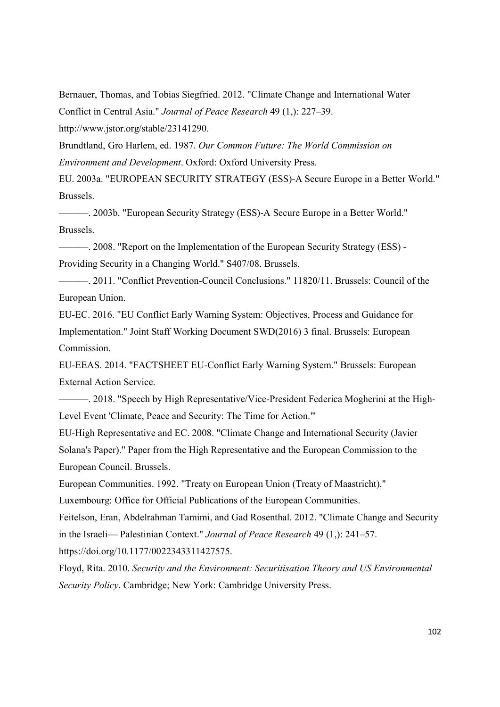Bernauer, Thomas, and Tobias Siegfried. 2012. "Climate Change and International Water Conflict in Central Asia." Journal of Peace Research 49 (1,): 227–39. http://www.jstor.org/stable/23141290.

Brundtland, Gro Harlem, ed. 1987. Our Common Future: The World Commission on Environment and Development. Oxford: Oxford University Press.

EU. 2003a. "EUROPEAN SECURITY STRATEGY (ESS)-A Secure Europe in a Better World." Brussels.

———. 2003b. "European Security Strategy (ESS)-A Secure Europe in a Better World." Brussels.

———. 2008. "Report on the Implementation of the European Security Strategy (ESS) - Providing Security in a Changing World." S407/08. Brussels.

———. 2011. "Conflict Prevention-Council Conclusions." 11820/11. Brussels: Council of the European Union.

EU-EC. 2016. "EU Conflict Early Warning System: Objectives, Process and Guidance for Implementation." Joint Staff Working Document SWD(2016) 3 final. Brussels: European Commission.

EU-EEAS. 2014. "FACTSHEET EU-Conflict Early Warning System." Brussels: European External Action Service.

———. 2018. "Speech by High Representative/Vice-President Federica Mogherini at the High-Level Event 'Climate, Peace and Security: The Time for Action.'"

EU-High Representative and EC. 2008. "Climate Change and International Security (Javier Solana's Paper)." Paper from the High Representative and the European Commission to the European Council. Brussels.

European Communities. 1992. "Treaty on European Union (Treaty of Maastricht)."

Luxembourg: Office for Official Publications of the European Communities.

Feitelson, Eran, Abdelrahman Tamimi, and Gad Rosenthal. 2012. "Climate Change and Security in the Israeli— Palestinian Context." Journal of Peace Research 49 (1,): 241–57. https://doi.org/10.1177/0022343311427575.

Floyd, Rita. 2010. Security and the Environment: Securitisation Theory and US Environmental Security Policy. Cambridge; New York: Cambridge University Press.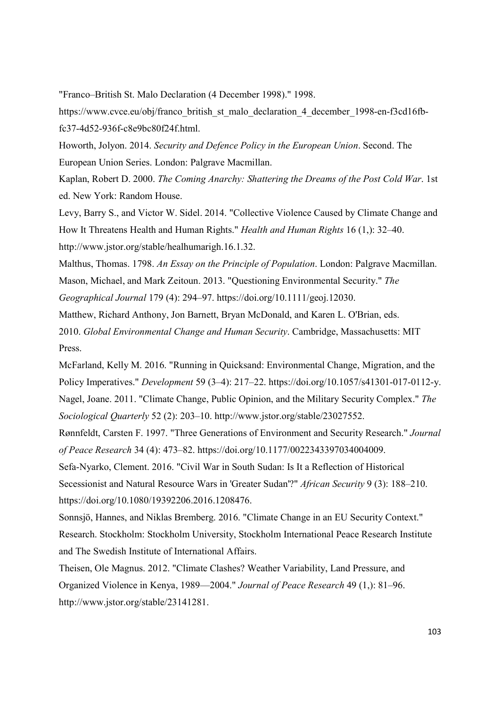"Franco–British St. Malo Declaration (4 December 1998)." 1998.

https://www.cvce.eu/obj/franco\_british\_st\_malo\_declaration\_4\_december\_1998-en-f3cd16fbfc37-4d52-936f-c8e9bc80f24f.html.

Howorth, Jolyon. 2014. Security and Defence Policy in the European Union. Second. The European Union Series. London: Palgrave Macmillan.

Kaplan, Robert D. 2000. The Coming Anarchy: Shattering the Dreams of the Post Cold War. 1st ed. New York: Random House.

Levy, Barry S., and Victor W. Sidel. 2014. "Collective Violence Caused by Climate Change and How It Threatens Health and Human Rights." Health and Human Rights 16 (1,): 32–40. http://www.jstor.org/stable/healhumarigh.16.1.32.

Malthus, Thomas. 1798. An Essay on the Principle of Population. London: Palgrave Macmillan. Mason, Michael, and Mark Zeitoun. 2013. "Questioning Environmental Security." The Geographical Journal 179 (4): 294–97. https://doi.org/10.1111/geoj.12030.

Matthew, Richard Anthony, Jon Barnett, Bryan ΜcDonald, and Karen L. O'Brian, eds. 2010. Global Environmental Change and Human Security. Cambridge, Massachusetts: MIT Press.

McFarland, Kelly M. 2016. "Running in Quicksand: Environmental Change, Migration, and the Policy Imperatives." Development 59 (3–4): 217–22. https://doi.org/10.1057/s41301-017-0112-y. Nagel, Joane. 2011. "Climate Change, Public Opinion, and the Military Security Complex." The Sociological Quarterly 52 (2): 203–10. http://www.jstor.org/stable/23027552.

Rønnfeldt, Carsten F. 1997. "Three Generations of Environment and Security Research." Journal of Peace Research 34 (4): 473–82. https://doi.org/10.1177/0022343397034004009.

Sefa-Nyarko, Clement. 2016. "Civil War in South Sudan: Is It a Reflection of Historical Secessionist and Natural Resource Wars in 'Greater Sudan'?" African Security 9 (3): 188–210. https://doi.org/10.1080/19392206.2016.1208476.

Sonnsjö, Hannes, and Niklas Bremberg. 2016. "Climate Change in an EU Security Context." Research. Stockholm: Stockholm University, Stockholm International Peace Research Institute and The Swedish Institute of International Affairs.

Theisen, Ole Magnus. 2012. "Climate Clashes? Weather Variability, Land Pressure, and Organized Violence in Kenya, 1989—2004." Journal of Peace Research 49 (1,): 81–96. http://www.jstor.org/stable/23141281.